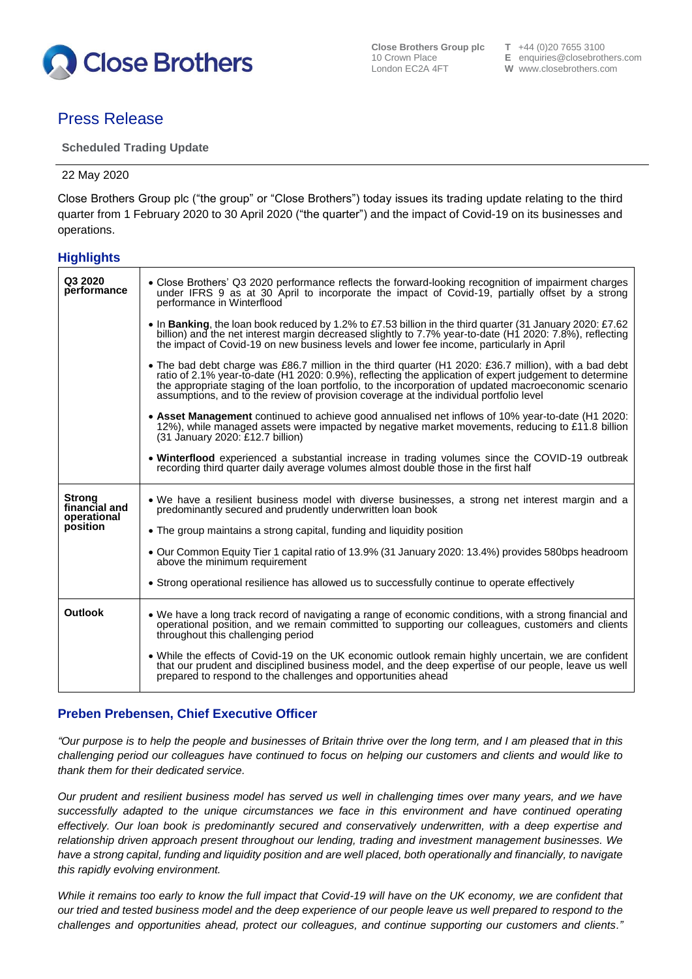

**Close Brothers Group plc T** +44 (0)20 7655 3100<br>10 Crown Place **E** enquiries @ closebroth

# Press Release

**Scheduled Trading Update**

22 May 2020

Close Brothers Group plc ("the group" or "Close Brothers") today issues its trading update relating to the third quarter from 1 February 2020 to 30 April 2020 ("the quarter") and the impact of Covid-19 on its businesses and operations.

# **Highlights**

| Q3 2020<br>performance                                    | • Close Brothers' Q3 2020 performance reflects the forward-looking recognition of impairment charges<br>under IFRS 9 as at 30 April to incorporate the impact of Covid-19, partially offset by a strong<br>performance in Winterflood                                                                                                                                                                                |
|-----------------------------------------------------------|----------------------------------------------------------------------------------------------------------------------------------------------------------------------------------------------------------------------------------------------------------------------------------------------------------------------------------------------------------------------------------------------------------------------|
|                                                           | • In Banking, the loan book reduced by 1.2% to £7.53 billion in the third quarter (31 January 2020: £7.62)<br>billion) and the net interest margin decreased slightly to 7.7% year-to-date (H1 2020: 7.8%), reflecting<br>the impact of Covid-19 on new business levels and lower fee income, particularly in April                                                                                                  |
|                                                           | • The bad debt charge was £86.7 million in the third quarter (H1 2020: £36.7 million), with a bad debt<br>ratio of 2.1% year-to-date (H1 2020: 0.9%), reflecting the application of expert judgement to determine<br>the appropriate staging of the loan portfolio, to the incorporation of updated macroeconomic scenario<br>assumptions, and to the review of provision coverage at the individual portfolio level |
|                                                           | • Asset Management continued to achieve good annualised net inflows of 10% year-to-date (H1 2020:<br>12%), while managed assets were impacted by negative market movements, reducing to £11.8 billion<br>(31 January 2020: £12.7 billion)                                                                                                                                                                            |
|                                                           | • Winterflood experienced a substantial increase in trading volumes since the COVID-19 outbreak<br>recording third quarter daily average volumes almost double those in the first half                                                                                                                                                                                                                               |
| <b>Strong</b><br>financial and<br>operational<br>position | • We have a resilient business model with diverse businesses, a strong net interest margin and a<br>predominantly secured and prudently underwritten loan book                                                                                                                                                                                                                                                       |
|                                                           | • The group maintains a strong capital, funding and liquidity position                                                                                                                                                                                                                                                                                                                                               |
|                                                           | • Our Common Equity Tier 1 capital ratio of 13.9% (31 January 2020: 13.4%) provides 580bps headroom<br>above the minimum requirement                                                                                                                                                                                                                                                                                 |
|                                                           | • Strong operational resilience has allowed us to successfully continue to operate effectively                                                                                                                                                                                                                                                                                                                       |
| <b>Outlook</b>                                            | • We have a long track record of navigating a range of economic conditions, with a strong financial and<br>operational position, and we remain committed to supporting our colleagues, customers and clients<br>throughout this challenging period                                                                                                                                                                   |
|                                                           | • While the effects of Covid-19 on the UK economic outlook remain highly uncertain, we are confident<br>that our prudent and disciplined business model, and the deep expertise of our people, leave us well<br>prepared to respond to the challenges and opportunities ahead                                                                                                                                        |

# **Preben Prebensen, Chief Executive Officer**

*"Our purpose is to help the people and businesses of Britain thrive over the long term, and I am pleased that in this challenging period our colleagues have continued to focus on helping our customers and clients and would like to thank them for their dedicated service.*

*Our prudent and resilient business model has served us well in challenging times over many years, and we have successfully adapted to the unique circumstances we face in this environment and have continued operating effectively. Our loan book is predominantly secured and conservatively underwritten, with a deep expertise and relationship driven approach present throughout our lending, trading and investment management businesses. We*  have a strong capital, funding and liquidity position and are well placed, both operationally and financially, to navigate *this rapidly evolving environment.*

*While it remains too early to know the full impact that Covid-19 will have on the UK economy, we are confident that our tried and tested business model and the deep experience of our people leave us well prepared to respond to the challenges and opportunities ahead, protect our colleagues, and continue supporting our customers and clients."*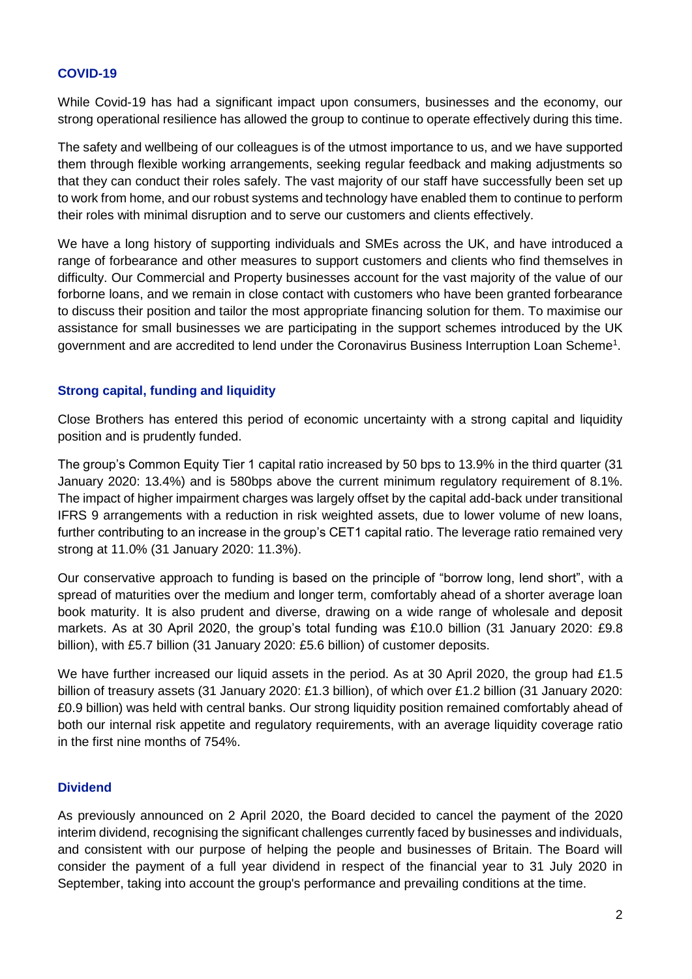# **COVID-19**

While Covid-19 has had a significant impact upon consumers, businesses and the economy, our strong operational resilience has allowed the group to continue to operate effectively during this time.

The safety and wellbeing of our colleagues is of the utmost importance to us, and we have supported them through flexible working arrangements, seeking regular feedback and making adjustments so that they can conduct their roles safely. The vast majority of our staff have successfully been set up to work from home, and our robust systems and technology have enabled them to continue to perform their roles with minimal disruption and to serve our customers and clients effectively.

We have a long history of supporting individuals and SMEs across the UK, and have introduced a range of forbearance and other measures to support customers and clients who find themselves in difficulty. Our Commercial and Property businesses account for the vast majority of the value of our forborne loans, and we remain in close contact with customers who have been granted forbearance to discuss their position and tailor the most appropriate financing solution for them. To maximise our assistance for small businesses we are participating in the support schemes introduced by the UK government and are accredited to lend under the Coronavirus Business Interruption Loan Scheme<sup>1</sup>.

# **Strong capital, funding and liquidity**

Close Brothers has entered this period of economic uncertainty with a strong capital and liquidity position and is prudently funded.

The group's Common Equity Tier 1 capital ratio increased by 50 bps to 13.9% in the third quarter (31 January 2020: 13.4%) and is 580bps above the current minimum regulatory requirement of 8.1%. The impact of higher impairment charges was largely offset by the capital add-back under transitional IFRS 9 arrangements with a reduction in risk weighted assets, due to lower volume of new loans, further contributing to an increase in the group's CET1 capital ratio. The leverage ratio remained very strong at 11.0% (31 January 2020: 11.3%).

Our conservative approach to funding is based on the principle of "borrow long, lend short", with a spread of maturities over the medium and longer term, comfortably ahead of a shorter average loan book maturity. It is also prudent and diverse, drawing on a wide range of wholesale and deposit markets. As at 30 April 2020, the group's total funding was £10.0 billion (31 January 2020: £9.8 billion), with £5.7 billion (31 January 2020: £5.6 billion) of customer deposits.

We have further increased our liquid assets in the period. As at 30 April 2020, the group had £1.5 billion of treasury assets (31 January 2020: £1.3 billion), of which over £1.2 billion (31 January 2020: £0.9 billion) was held with central banks. Our strong liquidity position remained comfortably ahead of both our internal risk appetite and regulatory requirements, with an average liquidity coverage ratio in the first nine months of 754%.

# **Dividend**

As previously announced on 2 April 2020, the Board decided to cancel the payment of the 2020 interim dividend, recognising the significant challenges currently faced by businesses and individuals, and consistent with our purpose of helping the people and businesses of Britain. The Board will consider the payment of a full year dividend in respect of the financial year to 31 July 2020 in September, taking into account the group's performance and prevailing conditions at the time.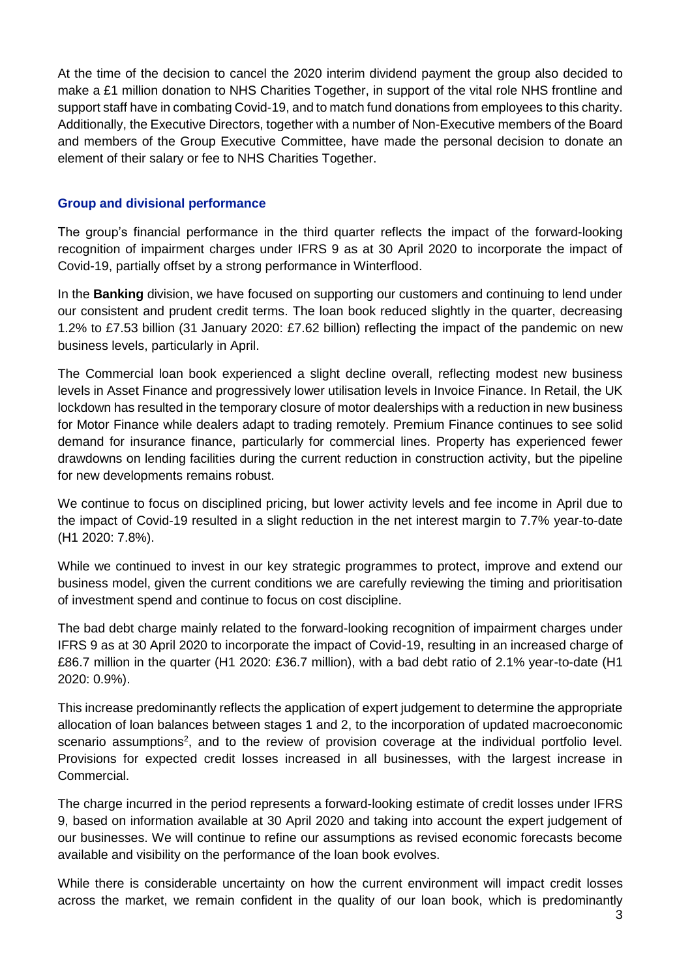At the time of the decision to cancel the 2020 interim dividend payment the group also decided to make a £1 million donation to NHS Charities Together, in support of the vital role NHS frontline and support staff have in combating Covid-19, and to match fund donations from employees to this charity. Additionally, the Executive Directors, together with a number of Non-Executive members of the Board and members of the Group Executive Committee, have made the personal decision to donate an element of their salary or fee to NHS Charities Together.

# **Group and divisional performance**

The group's financial performance in the third quarter reflects the impact of the forward-looking recognition of impairment charges under IFRS 9 as at 30 April 2020 to incorporate the impact of Covid-19, partially offset by a strong performance in Winterflood.

In the **Banking** division, we have focused on supporting our customers and continuing to lend under our consistent and prudent credit terms. The loan book reduced slightly in the quarter, decreasing 1.2% to £7.53 billion (31 January 2020: £7.62 billion) reflecting the impact of the pandemic on new business levels, particularly in April.

The Commercial loan book experienced a slight decline overall, reflecting modest new business levels in Asset Finance and progressively lower utilisation levels in Invoice Finance. In Retail, the UK lockdown has resulted in the temporary closure of motor dealerships with a reduction in new business for Motor Finance while dealers adapt to trading remotely. Premium Finance continues to see solid demand for insurance finance, particularly for commercial lines. Property has experienced fewer drawdowns on lending facilities during the current reduction in construction activity, but the pipeline for new developments remains robust.

We continue to focus on disciplined pricing, but lower activity levels and fee income in April due to the impact of Covid-19 resulted in a slight reduction in the net interest margin to 7.7% year-to-date (H1 2020: 7.8%).

While we continued to invest in our key strategic programmes to protect, improve and extend our business model, given the current conditions we are carefully reviewing the timing and prioritisation of investment spend and continue to focus on cost discipline.

The bad debt charge mainly related to the forward-looking recognition of impairment charges under IFRS 9 as at 30 April 2020 to incorporate the impact of Covid-19, resulting in an increased charge of £86.7 million in the quarter (H1 2020: £36.7 million), with a bad debt ratio of 2.1% year-to-date (H1 2020: 0.9%).

This increase predominantly reflects the application of expert judgement to determine the appropriate allocation of loan balances between stages 1 and 2, to the incorporation of updated macroeconomic scenario assumptions<sup>2</sup>, and to the review of provision coverage at the individual portfolio level. Provisions for expected credit losses increased in all businesses, with the largest increase in Commercial.

The charge incurred in the period represents a forward-looking estimate of credit losses under IFRS 9, based on information available at 30 April 2020 and taking into account the expert judgement of our businesses. We will continue to refine our assumptions as revised economic forecasts become available and visibility on the performance of the loan book evolves.

While there is considerable uncertainty on how the current environment will impact credit losses across the market, we remain confident in the quality of our loan book, which is predominantly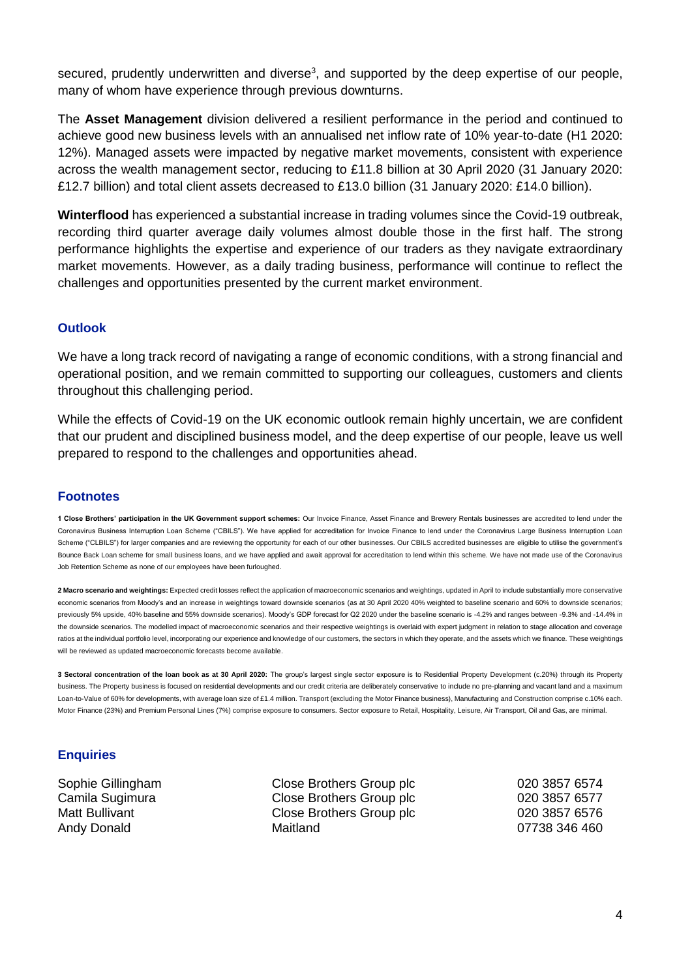secured, prudently underwritten and diverse<sup>3</sup>, and supported by the deep expertise of our people, many of whom have experience through previous downturns.

The **Asset Management** division delivered a resilient performance in the period and continued to achieve good new business levels with an annualised net inflow rate of 10% year-to-date (H1 2020: 12%). Managed assets were impacted by negative market movements, consistent with experience across the wealth management sector, reducing to £11.8 billion at 30 April 2020 (31 January 2020: £12.7 billion) and total client assets decreased to £13.0 billion (31 January 2020: £14.0 billion).

**Winterflood** has experienced a substantial increase in trading volumes since the Covid-19 outbreak, recording third quarter average daily volumes almost double those in the first half. The strong performance highlights the expertise and experience of our traders as they navigate extraordinary market movements. However, as a daily trading business, performance will continue to reflect the challenges and opportunities presented by the current market environment.

# **Outlook**

We have a long track record of navigating a range of economic conditions, with a strong financial and operational position, and we remain committed to supporting our colleagues, customers and clients throughout this challenging period.

While the effects of Covid-19 on the UK economic outlook remain highly uncertain, we are confident that our prudent and disciplined business model, and the deep expertise of our people, leave us well prepared to respond to the challenges and opportunities ahead.

#### **Footnotes**

**1 Close Brothers' participation in the UK Government support schemes:** Our Invoice Finance, Asset Finance and Brewery Rentals businesses are accredited to lend under the Coronavirus Business Interruption Loan Scheme ("CBILS"). We have applied for accreditation for Invoice Finance to lend under the Coronavirus Large Business Interruption Loan Scheme ("CLBILS") for larger companies and are reviewing the opportunity for each of our other businesses. Our CBILS accredited businesses are eligible to utilise the government's Bounce Back Loan scheme for small business loans, and we have applied and await approval for accreditation to lend within this scheme. We have not made use of the Coronavirus Job Retention Scheme as none of our employees have been furloughed.

**2 Macro scenario and weightings:** Expected credit losses reflect the application of macroeconomic scenarios and weightings, updated in April to include substantially more conservative economic scenarios from Moody's and an increase in weightings toward downside scenarios (as at 30 April 2020 40% weighted to baseline scenario and 60% to downside scenarios; previously 5% upside, 40% baseline and 55% downside scenarios). Moody's GDP forecast for Q2 2020 under the baseline scenario is -4.2% and ranges between -9.3% and -14.4% in the downside scenarios. The modelled impact of macroeconomic scenarios and their respective weightings is overlaid with expert judgment in relation to stage allocation and coverage ratios at the individual portfolio level, incorporating our experience and knowledge of our customers, the sectors in which they operate, and the assets which we finance. These weightings will be reviewed as updated macroeconomic forecasts become available.

**3 Sectoral concentration of the loan book as at 30 April 2020:** The group's largest single sector exposure is to Residential Property Development (c.20%) through its Property business. The Property business is focused on residential developments and our credit criteria are deliberately conservative to include no pre-planning and vacant land and a maximum Loan-to-Value of 60% for developments, with average loan size of £1.4 million. Transport (excluding the Motor Finance business), Manufacturing and Construction comprise c.10% each. Motor Finance (23%) and Premium Personal Lines (7%) comprise exposure to consumers. Sector exposure to Retail, Hospitality, Leisure, Air Transport, Oil and Gas, are minimal.

#### **Enquiries**

Sophie Gillingham Close Brothers Group plc 020 3857 6574 Camila Sugimura Close Brothers Group plc 020 3857 6577 Matt Bullivant **Close Brothers Group plc** 020 3857 6576 Andy Donald **Maitland** Maitland **Maitland** 67738 346 460